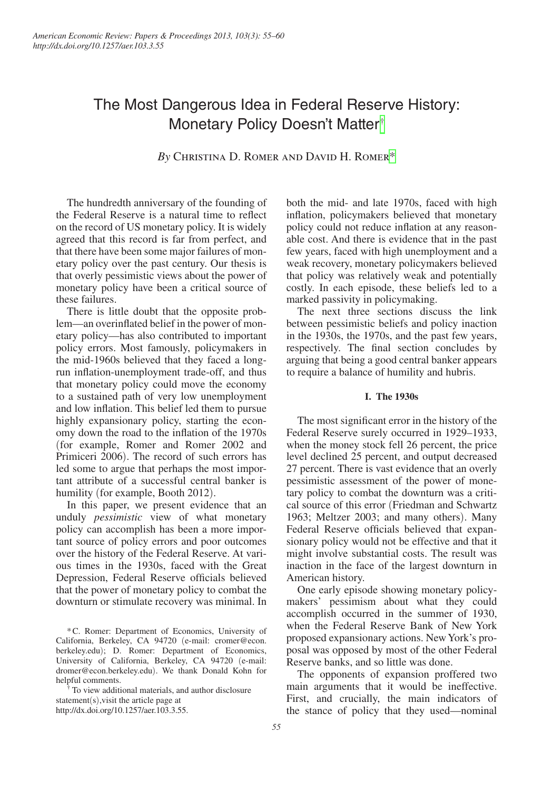# The Most Dangerous Idea in Federal Reserve History: Monetary Policy Doesn't Matter[†](#page-0-0)

*By* Christina D. Romer and David H. Romer[\\*](#page-0-1)

The hundredth anniversary of the founding of the Federal Reserve is a natural time to reflect on the record of US monetary policy. It is widely agreed that this record is far from perfect, and that there have been some major failures of monetary policy over the past century. Our thesis is that overly pessimistic views about the power of monetary policy have been a critical source of these failures.

There is little doubt that the opposite problem—an overinflated belief in the power of monetary policy—has also contributed to important policy errors. Most famously, policymakers in the mid-1960s believed that they faced a longrun inflation-unemployment trade-off, and thus that monetary policy could move the economy to a sustained path of very low unemployment and low inflation. This belief led them to pursue highly expansionary policy, starting the economy down the road to the inflation of the 1970s (for example, Romer and Romer 2002 and Primiceri 2006). The record of such errors has led some to argue that perhaps the most important attribute of a successful central banker is humility (for example, Booth 2012).

In this paper, we present evidence that an unduly *pessimistic* view of what monetary policy can accomplish has been a more important source of policy errors and poor outcomes over the history of the Federal Reserve. At various times in the 1930s, faced with the Great Depression, Federal Reserve officials believed that the power of monetary policy to combat the downturn or stimulate recovery was minimal. In

<span id="page-0-1"></span>\*C. Romer: Department of Economics, University of California, Berkeley, CA 94720 (e-mail: [cromer@econ.](mailto:cromer@econ.berkeley.edu) [berkeley.edu](mailto:cromer@econ.berkeley.edu)); D. Romer: Department of Economics, University of California, Berkeley, CA 94720 (e-mail: [dromer@econ.berkeley.edu](mailto:dromer@econ.berkeley.edu)). We thank Donald Kohn for

<span id="page-0-0"></span>To view additional materials, and author disclosure statement(s),visit the article page at [http://dx.doi.org/10.1257/aer.103.3.55.](http://dx.doi.org/10.1257/aer.103.3.55)

both the mid- and late 1970s, faced with high inflation, policymakers believed that monetary policy could not reduce inflation at any reasonable cost. And there is evidence that in the past few years, faced with high unemployment and a weak recovery, monetary policymakers believed that policy was relatively weak and potentially costly. In each episode, these beliefs led to a marked passivity in policymaking.

The next three sections discuss the link between pessimistic beliefs and policy inaction in the 1930s, the 1970s, and the past few years, respectively. The final section concludes by arguing that being a good central banker appears to require a balance of humility and hubris.

## **I. The 1930s**

The most significant error in the history of the Federal Reserve surely occurred in 1929–1933, when the money stock fell 26 percent, the price level declined 25 percent, and output decreased 27 percent. There is vast evidence that an overly pessimistic assessment of the power of monetary policy to combat the downturn was a critical source of this error (Friedman and Schwartz 1963; Meltzer 2003; and many others). Many Federal Reserve officials believed that expansionary policy would not be effective and that it might involve substantial costs. The result was inaction in the face of the largest downturn in American history.

One early episode showing monetary policymakers' pessimism about what they could accomplish occurred in the summer of 1930, when the Federal Reserve Bank of New York proposed expansionary actions. New York's proposal was opposed by most of the other Federal Reserve banks, and so little was done.

The opponents of expansion proffered two main arguments that it would be ineffective. First, and crucially, the main indicators of the stance of policy that they used—nominal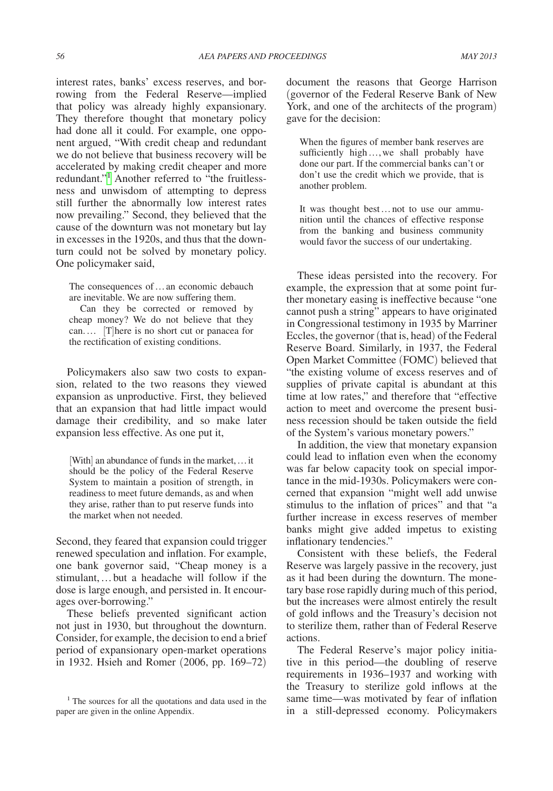interest rates, banks' excess reserves, and borrowing from the Federal Reserve—implied that policy was already highly expansionary. They therefore thought that monetary policy had done all it could. For example, one opponent argued, "With credit cheap and redundant we do not believe that business recovery will be accelerated by making credit cheaper and more redundant."<sup>1</sup> Another referred to "the fruitlessness and unwisdom of attempting to depress still further the abnormally low interest rates now prevailing." Second, they believed that the cause of the downturn was not monetary but lay in excesses in the 1920s, and thus that the downturn could not be solved by monetary policy. One policymaker said,

The consequences of…an economic debauch are inevitable. We are now suffering them.

Can they be corrected or removed by cheap money? We do not believe that they can.… [T]here is no short cut or panacea for the rectification of existing conditions.

Policymakers also saw two costs to expansion, related to the two reasons they viewed expansion as unproductive. First, they believed that an expansion that had little impact would damage their credibility, and so make later expansion less effective. As one put it,

[With] an abundance of funds in the market,…it should be the policy of the Federal Reserve System to maintain a position of strength, in readiness to meet future demands, as and when they arise, rather than to put reserve funds into the market when not needed.

Second, they feared that expansion could trigger renewed speculation and inflation. For example, one bank governor said, "Cheap money is a stimulant,…but a headache will follow if the dose is large enough, and persisted in. It encourages over-borrowing."

These beliefs prevented significant action not just in 1930, but throughout the downturn. Consider, for example, the decision to end a brief period of expansionary open-market operations in 1932. Hsieh and Romer (2006, pp. 169–72) document the reasons that George Harrison (governor of the Federal Reserve Bank of New York, and one of the architects of the program) gave for the decision:

When the figures of member bank reserves are sufficiently high ..., we shall probably have done our part. If the commercial banks can't or don't use the credit which we provide, that is another problem.

It was thought best…not to use our ammunition until the chances of effective response from the banking and business community would favor the success of our undertaking.

These ideas persisted into the recovery. For example, the expression that at some point further monetary easing is ineffective because "one cannot push a string" appears to have originated in Congressional testimony in 1935 by Marriner Eccles, the governor (that is, head) of the Federal Reserve Board. Similarly, in 1937, the Federal Open Market Committee (FOMC) believed that "the existing volume of excess reserves and of supplies of private capital is abundant at this time at low rates," and therefore that "effective action to meet and overcome the present business recession should be taken outside the field of the System's various monetary powers."

In addition, the view that monetary expansion could lead to inflation even when the economy was far below capacity took on special importance in the mid-1930s. Policymakers were concerned that expansion "might well add unwise stimulus to the inflation of prices" and that "a further increase in excess reserves of member banks might give added impetus to existing inflationary tendencies."

Consistent with these beliefs, the Federal Reserve was largely passive in the recovery, just as it had been during the downturn. The monetary base rose rapidly during much of this period, but the increases were almost entirely the result of gold inflows and the Treasury's decision not to sterilize them, rather than of Federal Reserve actions.

The Federal Reserve's major policy initiative in this period—the doubling of reserve requirements in 1936–1937 and working with the Treasury to sterilize gold inflows at the same time—was motivated by fear of inflation in a still-depressed economy. Policymakers

<span id="page-1-0"></span><sup>&</sup>lt;sup>1</sup> The sources for all the quotations and data used in the paper are given in the online Appendix.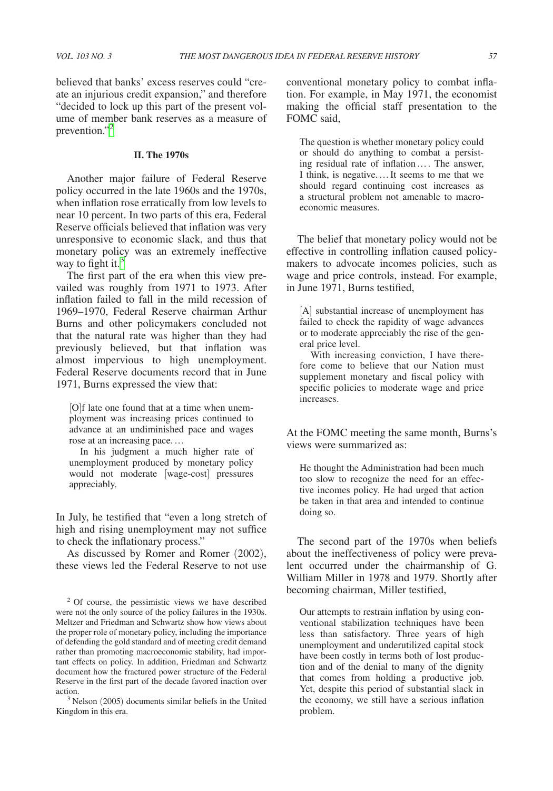believed that banks' excess reserves could "create an injurious credit expansion," and therefore "decided to lock up this part of the present volume of member bank reserves as a measure of prevention."[2](#page-2-0)

#### **II. The 1970s**

Another major failure of Federal Reserve policy occurred in the late 1960s and the 1970s, when inflation rose erratically from low levels to near 10 percent. In two parts of this era, Federal Reserve officials believed that inflation was very unresponsive to economic slack, and thus that monetary policy was an extremely ineffective way to fight it. $3$ 

The first part of the era when this view prevailed was roughly from 1971 to 1973. After inflation failed to fall in the mild recession of 1969–1970, Federal Reserve chairman Arthur Burns and other policymakers concluded not that the natural rate was higher than they had previously believed, but that inflation was almost impervious to high unemployment. Federal Reserve documents record that in June 1971, Burns expressed the view that:

[O]f late one found that at a time when unemployment was increasing prices continued to advance at an undiminished pace and wages rose at an increasing pace.…

In his judgment a much higher rate of unemployment produced by monetary policy would not moderate [wage-cost] pressures appreciably.

In July, he testified that "even a long stretch of high and rising unemployment may not suffice to check the inflationary process."

As discussed by Romer and Romer (2002), these views led the Federal Reserve to not use conventional monetary policy to combat inflation. For example, in May 1971, the economist making the official staff presentation to the FOMC said,

The question is whether monetary policy could or should do anything to combat a persisting residual rate of inflation…. The answer, I think, is negative.…It seems to me that we should regard continuing cost increases as a structural problem not amenable to macroeconomic measures.

The belief that monetary policy would not be effective in controlling inflation caused policymakers to advocate incomes policies, such as wage and price controls, instead. For example, in June 1971, Burns testified,

[A] substantial increase of unemployment has failed to check the rapidity of wage advances or to moderate appreciably the rise of the general price level.

With increasing conviction, I have therefore come to believe that our Nation must supplement monetary and fiscal policy with specific policies to moderate wage and price increases.

At the FOMC meeting the same month, Burns's views were summarized as:

He thought the Administration had been much too slow to recognize the need for an effective incomes policy. He had urged that action be taken in that area and intended to continue doing so.

The second part of the 1970s when beliefs about the ineffectiveness of policy were prevalent occurred under the chairmanship of G. William Miller in 1978 and 1979. Shortly after becoming chairman, Miller testified,

Our attempts to restrain inflation by using conventional stabilization techniques have been less than satisfactory. Three years of high unemployment and underutilized capital stock have been costly in terms both of lost production and of the denial to many of the dignity that comes from holding a productive job. Yet, despite this period of substantial slack in the economy, we still have a serious inflation problem.

<span id="page-2-0"></span><sup>2</sup> Of course, the pessimistic views we have described were not the only source of the policy failures in the 1930s. Meltzer and Friedman and Schwartz show how views about the proper role of monetary policy, including the importance of defending the gold standard and of meeting credit demand rather than promoting macroeconomic stability, had important effects on policy. In addition, Friedman and Schwartz document how the fractured power structure of the Federal Reserve in the first part of the decade favored inaction over action. 3 Nelson (2005) documents similar beliefs in the United

<span id="page-2-1"></span>Kingdom in this era.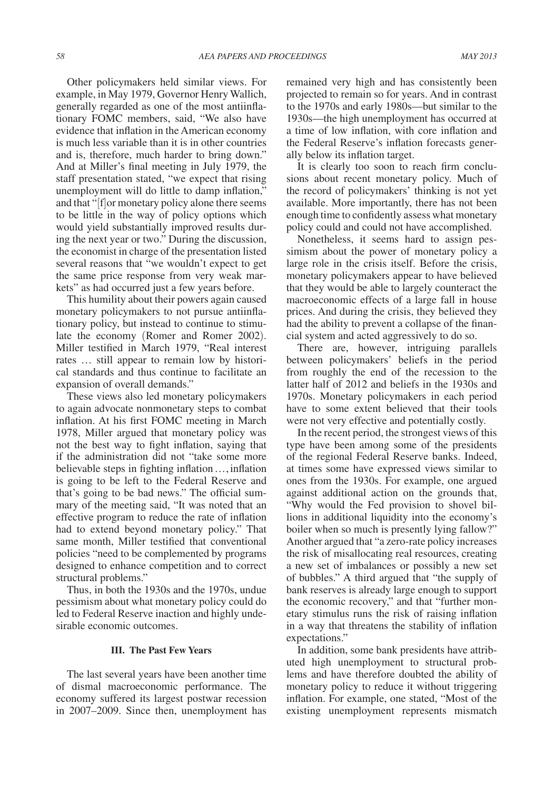Other policymakers held similar views. For example, in May 1979, Governor Henry Wallich, generally regarded as one of the most antiinflationary FOMC members, said, "We also have evidence that inflation in the American economy is much less variable than it is in other countries and is, therefore, much harder to bring down." And at Miller's final meeting in July 1979, the staff presentation stated, "we expect that rising unemployment will do little to damp inflation," and that "[f]or monetary policy alone there seems to be little in the way of policy options which would yield substantially improved results during the next year or two." During the discussion, the economist in charge of the presentation listed several reasons that "we wouldn't expect to get the same price response from very weak markets" as had occurred just a few years before.

This humility about their powers again caused monetary policymakers to not pursue antiinflationary policy, but instead to continue to stimulate the economy (Romer and Romer 2002). Miller testified in March 1979, "Real interest rates … still appear to remain low by historical standards and thus continue to facilitate an expansion of overall demands."

These views also led monetary policymakers to again advocate nonmonetary steps to combat inflation. At his first FOMC meeting in March 1978, Miller argued that monetary policy was not the best way to fight inflation, saying that if the administration did not "take some more believable steps in fighting inflation ..., inflation is going to be left to the Federal Reserve and that's going to be bad news." The official summary of the meeting said, "It was noted that an effective program to reduce the rate of inflation had to extend beyond monetary policy." That same month, Miller testified that conventional policies "need to be complemented by programs designed to enhance competition and to correct structural problems."

Thus, in both the 1930s and the 1970s, undue pessimism about what monetary policy could do led to Federal Reserve inaction and highly undesirable economic outcomes.

#### **III. The Past Few Years**

The last several years have been another time of dismal macroeconomic performance. The economy suffered its largest postwar recession in 2007–2009. Since then, unemployment has remained very high and has consistently been projected to remain so for years. And in contrast to the 1970s and early 1980s—but similar to the 1930s—the high unemployment has occurred at a time of low inflation, with core inflation and the Federal Reserve's inflation forecasts generally below its inflation target.

It is clearly too soon to reach firm conclusions about recent monetary policy. Much of the record of policymakers' thinking is not yet available. More importantly, there has not been enough time to confidently assess what monetary policy could and could not have accomplished.

Nonetheless, it seems hard to assign pessimism about the power of monetary policy a large role in the crisis itself. Before the crisis, monetary policymakers appear to have believed that they would be able to largely counteract the macroeconomic effects of a large fall in house prices. And during the crisis, they believed they had the ability to prevent a collapse of the financial system and acted aggressively to do so.

There are, however, intriguing parallels between policymakers' beliefs in the period from roughly the end of the recession to the latter half of 2012 and beliefs in the 1930s and 1970s. Monetary policymakers in each period have to some extent believed that their tools were not very effective and potentially costly.

In the recent period, the strongest views of this type have been among some of the presidents of the regional Federal Reserve banks. Indeed, at times some have expressed views similar to ones from the 1930s. For example, one argued against additional action on the grounds that, "Why would the Fed provision to shovel billions in additional liquidity into the economy's boiler when so much is presently lying fallow?" Another argued that "a zero-rate policy increases the risk of misallocating real resources, creating a new set of imbalances or possibly a new set of bubbles." A third argued that "the supply of bank reserves is already large enough to support the economic recovery," and that "further monetary stimulus runs the risk of raising inflation in a way that threatens the stability of inflation expectations."

In addition, some bank presidents have attributed high unemployment to structural problems and have therefore doubted the ability of monetary policy to reduce it without triggering inflation. For example, one stated, "Most of the existing unemployment represents mismatch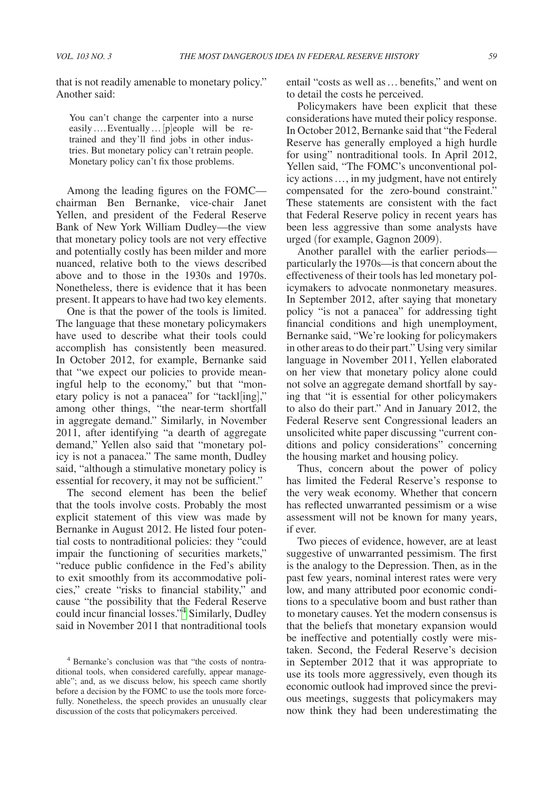that is not readily amenable to monetary policy." Another said:

You can't change the carpenter into a nurse easily….Eventually…[p]eople will be retrained and they'll find jobs in other industries. But monetary policy can't retrain people. Monetary policy can't fix those problems.

Among the leading figures on the FOMC chairman Ben Bernanke, vice-chair Janet Yellen, and president of the Federal Reserve Bank of New York William Dudley—the view that monetary policy tools are not very effective and potentially costly has been milder and more nuanced, relative both to the views described above and to those in the 1930s and 1970s. Nonetheless, there is evidence that it has been present. It appears to have had two key elements.

One is that the power of the tools is limited. The language that these monetary policymakers have used to describe what their tools could accomplish has consistently been measured. In October 2012, for example, Bernanke said that "we expect our policies to provide meaningful help to the economy," but that "monetary policy is not a panacea" for "tackl[ing]," among other things, "the near-term shortfall in aggregate demand." Similarly, in November 2011, after identifying "a dearth of aggregate demand," Yellen also said that "monetary policy is not a panacea." The same month, Dudley said, "although a stimulative monetary policy is essential for recovery, it may not be sufficient."

The second element has been the belief that the tools involve costs. Probably the most explicit statement of this view was made by Bernanke in August 2012. He listed four potential costs to nontraditional policies: they "could impair the functioning of securities markets," "reduce public confidence in the Fed's ability to exit smoothly from its accommodative policies," create "risks to financial stability," and cause "the possibility that the Federal Reserve could incur financial losses."[4](#page-4-0) Similarly, Dudley said in November 2011 that nontraditional tools

entail "costs as well as… benefits," and went on to detail the costs he perceived.

Policymakers have been explicit that these considerations have muted their policy response. In October 2012, Bernanke said that "the Federal Reserve has generally employed a high hurdle for using" nontraditional tools. In April 2012, Yellen said, "The FOMC's unconventional policy actions…, in my judgment, have not entirely compensated for the zero-bound constraint." These statements are consistent with the fact that Federal Reserve policy in recent years has been less aggressive than some analysts have urged (for example, Gagnon 2009).

Another parallel with the earlier periods particularly the 1970s—is that concern about the effectiveness of their tools has led monetary policymakers to advocate nonmonetary measures. In September 2012, after saying that monetary policy "is not a panacea" for addressing tight financial conditions and high unemployment, Bernanke said, "We're looking for policymakers in other areas to do their part." Using very similar language in November 2011, Yellen elaborated on her view that monetary policy alone could not solve an aggregate demand shortfall by saying that "it is essential for other policymakers to also do their part." And in January 2012, the Federal Reserve sent Congressional leaders an unsolicited white paper discussing "current conditions and policy considerations" concerning the housing market and housing policy.

Thus, concern about the power of policy has limited the Federal Reserve's response to the very weak economy. Whether that concern has reflected unwarranted pessimism or a wise assessment will not be known for many years, if ever.

Two pieces of evidence, however, are at least suggestive of unwarranted pessimism. The first is the analogy to the Depression. Then, as in the past few years, nominal interest rates were very low, and many attributed poor economic conditions to a speculative boom and bust rather than to monetary causes. Yet the modern consensus is that the beliefs that monetary expansion would be ineffective and potentially costly were mistaken. Second, the Federal Reserve's decision in September 2012 that it was appropriate to use its tools more aggressively, even though its economic outlook had improved since the previous meetings, suggests that policymakers may now think they had been underestimating the

<span id="page-4-0"></span><sup>4</sup> Bernanke's conclusion was that "the costs of nontraditional tools, when considered carefully, appear manageable"; and, as we discuss below, his speech came shortly before a decision by the FOMC to use the tools more forcefully. Nonetheless, the speech provides an unusually clear discussion of the costs that policymakers perceived.